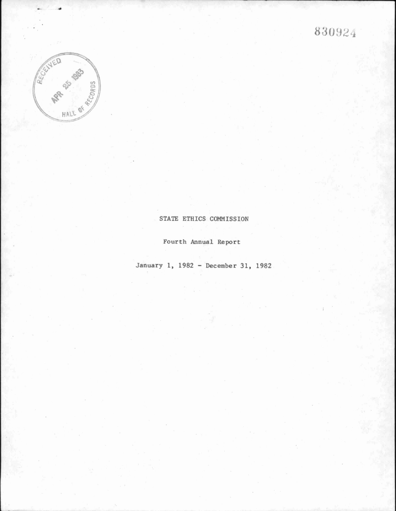I



# STATE ETHICS COMMISSION

Fourth Annual Report

January 1, 1982 - December 31, 1982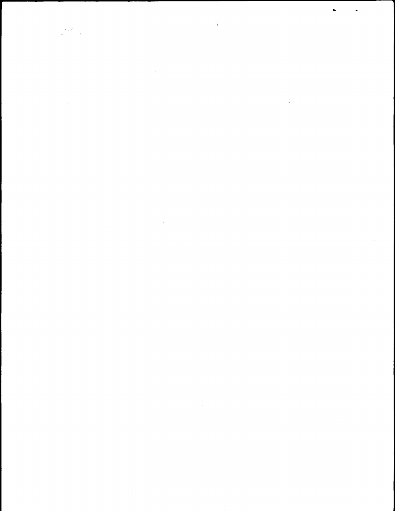$\label{eq:2.1} \frac{1}{\sqrt{2}}\int_{\mathbb{R}^3}\frac{1}{\sqrt{2}}\left(\frac{1}{\sqrt{2}}\right)^2\frac{1}{\sqrt{2}}\left(\frac{1}{\sqrt{2}}\right)^2\frac{1}{\sqrt{2}}\left(\frac{1}{\sqrt{2}}\right)^2\frac{1}{\sqrt{2}}\left(\frac{1}{\sqrt{2}}\right)^2\frac{1}{\sqrt{2}}\left(\frac{1}{\sqrt{2}}\right)^2\frac{1}{\sqrt{2}}\frac{1}{\sqrt{2}}\frac{1}{\sqrt{2}}\frac{1}{\sqrt{2}}\frac{1}{\sqrt{2}}\frac{1}{\sqrt{2}}$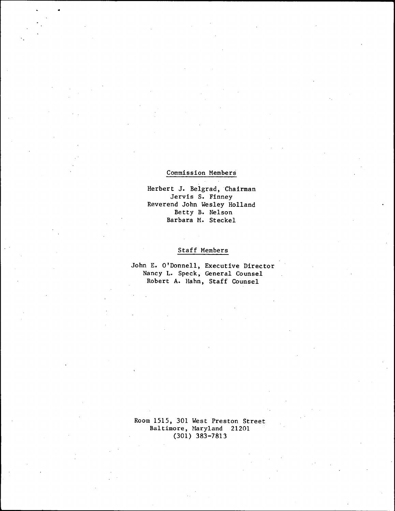## Commission Members

Herbert J. Belgrad, Chairman Jervis S. Finney Reverend John Wesley Holland Betty B. Nelson Barbara M. Steckel

## Staff Members

John E. O'Donnell, Executive Director Nancy L. Speck, General Counsel Robert A. Hahn, Staff Counsel

Room 1515, 301 West Preston Street Baltimore, Maryland 21201 (301) 383-7813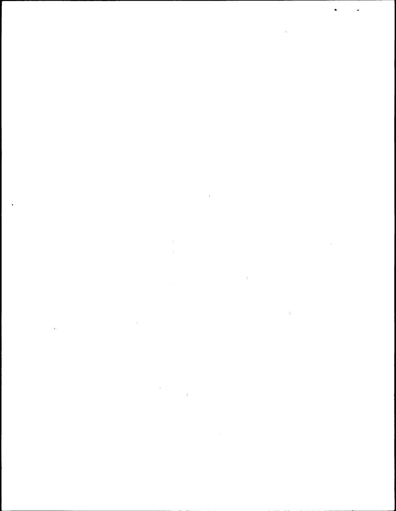$\label{eq:2.1} \frac{1}{\sqrt{2}}\int_{\mathbb{R}^3}\frac{1}{\sqrt{2}}\left(\frac{1}{\sqrt{2}}\right)^2\frac{1}{\sqrt{2}}\left(\frac{1}{\sqrt{2}}\right)^2\frac{1}{\sqrt{2}}\left(\frac{1}{\sqrt{2}}\right)^2\frac{1}{\sqrt{2}}\left(\frac{1}{\sqrt{2}}\right)^2.$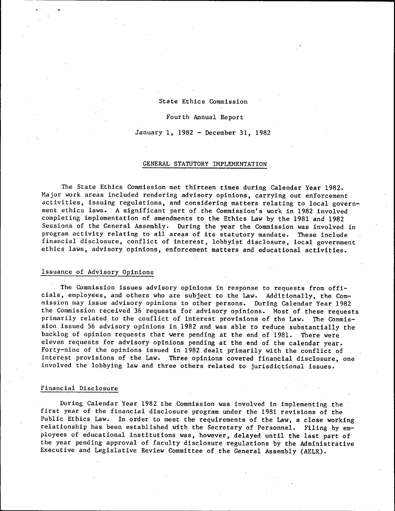## State Ethics Commission

## Fourth Annual Report

January 1, 1982 - December 31, 1982

#### GENERAL STATUTORY IMPLEMENTATION

The State Ethics Commission met thirteen times during Calendar Year 1982. Major work areas included rendering advisory opinions, carrying out enforcement activities, issuing regulations, and considering matters relating to local government ethics laws. A significant part of the Commission's work in 1982 involved completing implementation of amendments to the Ethics Law by the 1981 and 1982 Sessions of the General Assembly. During the year the Commission was involved in program activity relating to all areas of its statutory mandate. These include financial disclosure, conflict of interest, lobbyist disclosure, local government ethics laws, advisory opinions, enforcement matters and educational activities.

#### Issuance of Advisory Opinions

The Commission issues advisory opinions in response to requests from officials, employees, and others who are subject to the Law. Additionally, the Commission may issue advisory opinions to other persons. During Calendar Year 1982 the Commission received 36 requests for advisory opinions. Most of these requests primarily related to the conflict of interest provisions of the Law. The Commission issued 56 advisory opinions in 1982 and was able to reduce substantially the backlog of opinion requests that were pending at the end of 1981. There were eleven requests for advisory opinions pending at the end of the calendar year. Forty-nine of the opinions issued in 1982 dealt primarily with the conflict of interest provisions of the Law. Three opinions covered financial disclosure, one involved the lobbying law and three others related to jurisdictional issues.

#### Financial Disclosure

During Calendar Year 1982 the Commission was involved in implementing the first year of the financial disclosure program under the 1981 revisions of the Public Ethics Law. In order to meet the requirements of the Law, a close working relationship has been established with the Secretary of Personnel. Filing by employees of educational institutions was, however, delayed until the last part of the year pending approval of faculty disclosure regulations by the Administrative Executive and Legislative Review Committee of the General Assembly (AELR).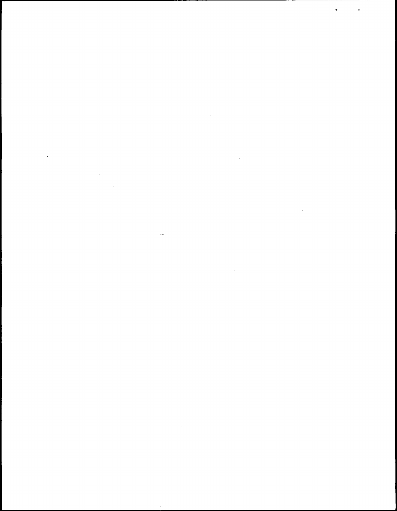$\label{eq:2.1} \frac{1}{2} \sum_{i=1}^n \frac{1}{2} \sum_{j=1}^n \frac{1}{2} \sum_{j=1}^n \frac{1}{2} \sum_{j=1}^n \frac{1}{2} \sum_{j=1}^n \frac{1}{2} \sum_{j=1}^n \frac{1}{2} \sum_{j=1}^n \frac{1}{2} \sum_{j=1}^n \frac{1}{2} \sum_{j=1}^n \frac{1}{2} \sum_{j=1}^n \frac{1}{2} \sum_{j=1}^n \frac{1}{2} \sum_{j=1}^n \frac{1}{2} \sum_{j=1}^n \frac{$  $\label{eq:2.1} \mathcal{L}(\mathcal{L}^{\mathcal{L}}_{\mathcal{L}}(\mathcal{L}^{\mathcal{L}}_{\mathcal{L}})) \leq \mathcal{L}(\mathcal{L}^{\mathcal{L}}_{\mathcal{L}}(\mathcal{L}^{\mathcal{L}}_{\mathcal{L}})) \leq \mathcal{L}(\mathcal{L}^{\mathcal{L}}_{\mathcal{L}}(\mathcal{L}^{\mathcal{L}}_{\mathcal{L}}))$  $\label{eq:2.1} \frac{1}{\sqrt{2}}\int_{\mathbb{R}^3}\frac{1}{\sqrt{2}}\left(\frac{1}{\sqrt{2}}\right)^2\frac{1}{\sqrt{2}}\left(\frac{1}{\sqrt{2}}\right)^2\frac{1}{\sqrt{2}}\left(\frac{1}{\sqrt{2}}\right)^2\frac{1}{\sqrt{2}}\left(\frac{1}{\sqrt{2}}\right)^2\frac{1}{\sqrt{2}}\left(\frac{1}{\sqrt{2}}\right)^2\frac{1}{\sqrt{2}}\frac{1}{\sqrt{2}}\frac{1}{\sqrt{2}}\frac{1}{\sqrt{2}}\frac{1}{\sqrt{2}}\frac{1}{\sqrt{2}}$  $\label{eq:2.1} \frac{1}{2} \sum_{i=1}^n \frac{1}{2} \sum_{j=1}^n \frac{1}{2} \sum_{j=1}^n \frac{1}{2} \sum_{j=1}^n \frac{1}{2} \sum_{j=1}^n \frac{1}{2} \sum_{j=1}^n \frac{1}{2} \sum_{j=1}^n \frac{1}{2} \sum_{j=1}^n \frac{1}{2} \sum_{j=1}^n \frac{1}{2} \sum_{j=1}^n \frac{1}{2} \sum_{j=1}^n \frac{1}{2} \sum_{j=1}^n \frac{1}{2} \sum_{j=1}^n \frac{$  $\label{eq:2.1} \frac{1}{\sqrt{2}}\int_{\mathbb{R}^3}\frac{1}{\sqrt{2}}\left(\frac{1}{\sqrt{2}}\right)^2\left(\frac{1}{\sqrt{2}}\right)^2\left(\frac{1}{\sqrt{2}}\right)^2\left(\frac{1}{\sqrt{2}}\right)^2\left(\frac{1}{\sqrt{2}}\right)^2\left(\frac{1}{\sqrt{2}}\right)^2\left(\frac{1}{\sqrt{2}}\right)^2\left(\frac{1}{\sqrt{2}}\right)^2\left(\frac{1}{\sqrt{2}}\right)^2\left(\frac{1}{\sqrt{2}}\right)^2\left(\frac{1}{\sqrt{2}}\right)^2\left(\frac$  $\label{eq:2.1} \mathcal{L}(\mathcal{L}^{\text{max}}_{\mathcal{L}}(\mathcal{L}^{\text{max}}_{\mathcal{L}})) \leq \mathcal{L}(\mathcal{L}^{\text{max}}_{\mathcal{L}}(\mathcal{L}^{\text{max}}_{\mathcal{L}}))$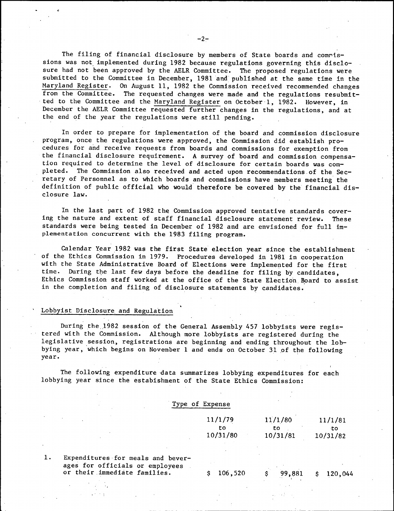The filing of financial disclosure by members of State boards and comnissions was not implemented during 1982 because regulations governing this disclosure had not been approved by the AELR Committee. The proposed regulations were submitted to the Committee in December, 1981 and published at the same time in the Maryland Register. On August 11, 1982 the Commission received recommended changes from the Committee. The requested changes were made and the regulations resubmitted to the Committee and the Maryland Register on October 1, 1982. However, in December the AELR Committee requested further changes in the regulations, and at the end of the year the regulations were still pending.

In order to prepare for implementation of the board and commission disclosure program, once the regulations were approved, the Commission did establish procedures for and receive requests from boards and commissions for exemption from the financial disclosure requirement. A survey of board and commission compensation required to determine the level of disclosure for certain boards was completed. The Commission also received and acted upon recommendations of the Secretary of Personnel as to which boards and commissions have members meeting the definition of public official who would therefore be covered by the financial disclosure law.

In the last part of 1982 the Commission approved tentative standards covering the nature and extent of staff financial disclosure statement review. These standards were being tested in December of 1982 and are envisioned for full implementation concurrent with the 1983 filing program.

Calendar Year 1982 was the first State election year since the establishment of the Ethics Commission in 1979. Procedures developed in 1981 in cooperation with the State Administrative Board of Elections were implemented for the first time. During the last few days before the deadline for filing by candidates, Ethics Commission staff worked at the office of the State Election Board to assist in the completion and filing of disclosure statements by candidates.

## Lobbyist Disclosure and Regulation

During the 1982 session of the General Assembly 457 lobbyists were registered with the Commission. Although more lobbyists are registered during the legislative session, registrations are beginning and ending throughout the lobbying year, which begins on November 1 and ends on October 31 of the following year.

The following expenditure data summarizes lobbying expenditures for each lobbying year since the estabishment of the State Ethics Commission:

## Type of Expense

| 11/1/79  | 11/1/80  | 11/1/81  |
|----------|----------|----------|
| τo       | to to    | -to:     |
| 10/31/80 | 10/31/81 | 10/31/82 |

1. Expenditures for meals and beverages for officials or employees or their immediate families.  $\frac{106}{520}$  \$ 99,881 \$ 120,044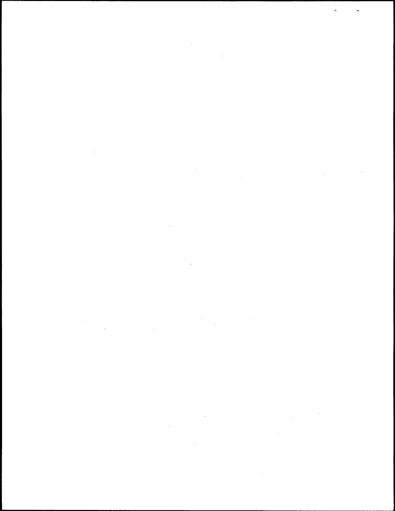$\label{eq:2.1} \mathcal{L}(\mathcal{L}^{\mathcal{L}}_{\mathcal{L}}(\mathcal{L}^{\mathcal{L}}_{\mathcal{L}})) \leq \mathcal{L}(\mathcal{L}^{\mathcal{L}}_{\mathcal{L}}(\mathcal{L}^{\mathcal{L}}_{\mathcal{L}})) \leq \mathcal{L}(\mathcal{L}^{\mathcal{L}}_{\mathcal{L}}(\mathcal{L}^{\mathcal{L}}_{\mathcal{L}}))$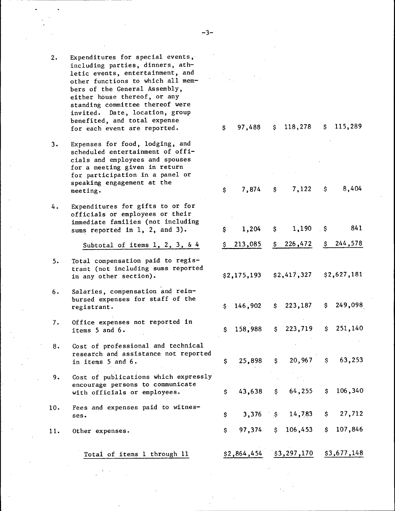- 2. Expenditures for special events, including parties, dinners, athletic events, entertainment, and other functions to which all members of the General Assembly, either house thereof, or any standing committee thereof were invited. Date, location, group benefited, and total expense for each event are reported.
- 3. Expenses for food, lodging, and scheduled entertainment of officials and employees and spouses for a meeting given in return for participation in a panel or speaking engagement at the
- 4. Expenditures for gifts to or for officials or employees or their immediate families (not including

- 5. Total compensation paid to registrant (not including sums reported in any other section).
- 6. Salaries, compensation and reimbursed expenses for staff of the registrant.
- 7. Office expenses not reported in items  $5$  and  $6.$
- 8. Cost of professional and technical research and assistance not reported in items  $5$  and  $6.$
- 9. Cost of publications which expressly encourage persons to communicate with officials or employees.
- 10. Fees and expenses paid to witnes-
- 11. Other expenses.

Total of items 1 through 11 \$2,864,454 \$3,297,170 \$3,677,148

| benefited, and total expense<br>for each event are reported.                                                                                                                                             | S            | 97,488                                          | \$118,278                   |                    | \$115,289   |
|----------------------------------------------------------------------------------------------------------------------------------------------------------------------------------------------------------|--------------|-------------------------------------------------|-----------------------------|--------------------|-------------|
| Expenses for food, lodging, and<br>scheduled entertainment of offi-<br>cials and employees and spouses<br>for a meeting given in return<br>for participation in a panel or<br>speaking engagement at the |              |                                                 |                             |                    |             |
| meeting.                                                                                                                                                                                                 | $\mathsf{S}$ |                                                 | $7,874$ \$ $7,122$          | $\mathsf{S}$       | 8,404       |
| Expenditures for gifts to or for<br>officials or employees or their<br>immediate families (not including<br>sums reported in 1, 2, and 3).                                                               |              | 1,204<br>$\mathsf{S}$ . The set of $\mathsf{S}$ | $$1,190$ \$                 |                    | 841         |
| Subtotal of items $1, 2, 3, 64$                                                                                                                                                                          |              | \$213,085                                       | $$226,472 \t$244,578$       |                    |             |
| Total compensation paid to regis-<br>trant (not including sums reported<br>in any other section).                                                                                                        |              |                                                 | $$2,175,193$ $$2,417,327$   |                    | \$2,627,181 |
| Salaries, compensation and reim-<br>bursed expenses for staff of the<br>registrant.                                                                                                                      |              |                                                 | $$146,902 \t$223,187$       |                    | \$249,098   |
| Office expenses not reported in<br>items 5 and 6.                                                                                                                                                        | \$           |                                                 | 158,988 \$ 223,719          |                    | \$251,140   |
| Cost of professional and technical<br>research and assistance not reported<br>in items 5 and 6.                                                                                                          | \$           | 25,898                                          | \$20,967                    |                    | \$63,253    |
| Cost of publications which expressly<br>encourage persons to communicate<br>with officials or employees.                                                                                                 | $\mathsf{S}$ | 43,638                                          | \$64,255                    |                    | \$106,340   |
| Fees and expenses paid to witnes-<br>ses.                                                                                                                                                                | \$           |                                                 | $3,376$ $\sqrt{5}$ $14,783$ | $\boldsymbol{\xi}$ | 27,712      |
| Other expenses.                                                                                                                                                                                          | \$           | $97,374$ \$                                     | 106,453                     | $\mathsf{S}$       | 107,846     |
|                                                                                                                                                                                                          |              |                                                 |                             |                    |             |

- 
-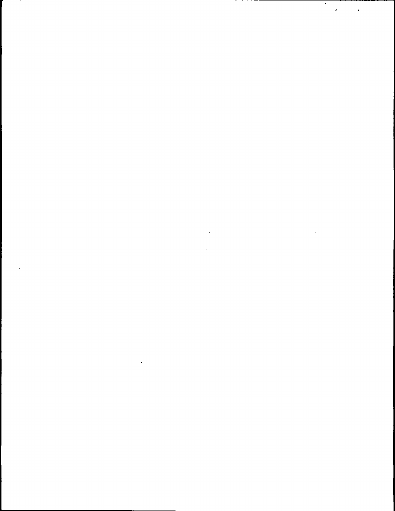$\label{eq:2.1} \frac{1}{\sqrt{2}}\left(\frac{1}{\sqrt{2}}\right)^{2} \left(\frac{1}{\sqrt{2}}\right)^{2} \left(\frac{1}{\sqrt{2}}\right)^{2} \left(\frac{1}{\sqrt{2}}\right)^{2} \left(\frac{1}{\sqrt{2}}\right)^{2} \left(\frac{1}{\sqrt{2}}\right)^{2} \left(\frac{1}{\sqrt{2}}\right)^{2} \left(\frac{1}{\sqrt{2}}\right)^{2} \left(\frac{1}{\sqrt{2}}\right)^{2} \left(\frac{1}{\sqrt{2}}\right)^{2} \left(\frac{1}{\sqrt{2}}\right)^{2} \left(\$ 

 $\mathcal{L}^{\text{max}}_{\text{max}}$  and  $\mathcal{L}^{\text{max}}_{\text{max}}$ 

 $\label{eq:2.1} \frac{1}{\sqrt{2}}\int_{\mathbb{R}^3}\frac{1}{\sqrt{2}}\left(\frac{1}{\sqrt{2}}\right)^2\frac{1}{\sqrt{2}}\left(\frac{1}{\sqrt{2}}\right)^2\frac{1}{\sqrt{2}}\left(\frac{1}{\sqrt{2}}\right)^2\frac{1}{\sqrt{2}}\left(\frac{1}{\sqrt{2}}\right)^2.$ 

 $\label{eq:2.1} \mathcal{L}(\mathcal{L}^{\mathcal{L}}_{\mathcal{L}}(\mathcal{L}^{\mathcal{L}}_{\mathcal{L}})) \leq \mathcal{L}(\mathcal{L}^{\mathcal{L}}_{\mathcal{L}}(\mathcal{L}^{\mathcal{L}}_{\mathcal{L}})) \leq \mathcal{L}(\mathcal{L}^{\mathcal{L}}_{\mathcal{L}}(\mathcal{L}^{\mathcal{L}}_{\mathcal{L}}))$ 

 $\label{eq:2.1} \mathcal{L}(\mathcal{L}^{\mathcal{L}}_{\mathcal{L}}(\mathcal{L}^{\mathcal{L}}_{\mathcal{L}}))\leq \mathcal{L}(\mathcal{L}^{\mathcal{L}}_{\mathcal{L}}(\mathcal{L}^{\mathcal{L}}_{\mathcal{L}}))$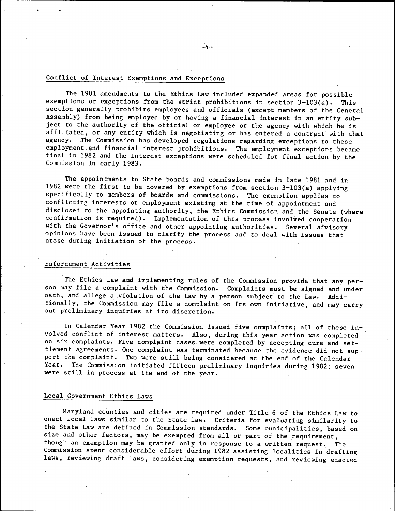## Conflict of Interest Exemptions and Exceptions

. The 1981 amendments to the Ethics Law included expanded areas for possible exemptions or exceptions from the strict prohibitions in section 3-103(a). This section generally prohibits employees and officials (except members of the General Assembly) from being employed by or having a financial interest in an entity subject to the authority of the official or employee or the agency with which he is affiliated, or any entity which is negotiating or has entered a contract with that agency. The Commission has developed regulations regarding exceptions to these employment and financial interest prohibitions. The employment exceptions became final in 1982 and the interest exceptions were scheduled for final action by the Commission in early 1983.

-4-

The appointments to State boards and commissions made in late 1981 and in 1982 were the first to be covered by exemptions from section 3-103(a) applying specifically to members of boards and commissions. The exemption applies to conflicting interests or employment existing at the time of appointment and disclosed to the appointing authority, the Ethics Commission and the Senate (where confirmation is required). Implementation of this process involved cooperation with the Governor's office and other appointing authorities. Several advisory opinions have been issued to clarify the process and to deal with issues that arose during initiation of the process.

#### Enforcement Activities

The Ethics Law and implementing rules of the Commission provide that any person may file a complaint with the Commission. Complaints must be signed and under oath, and allege a violation of the Law by a person subject to the Law. Additionally, the Commission may file a complaint on its own initiative, and may carry out preliminary inquiries at its discretion.

In Calendar Year 1982 the Commission issued five complaints; all of these involved conflict of interest matters. Also, during this year action was completed on six complaints. Five complaint cases were completed by accepting cure and settlement agreements. One complaint was terminated because the evidence did not support the complaint. Two were still being considered at the end of the Calendar Year. The Commission initiated fifteen preliminary inquiries during 1982; seven were still in process at the end of the year.

#### Local Government Ethics Laws

Maryland counties and cities are required under Title 6 of the Ethics Law to enact local laws similar to the State law. Criteria for evaluating similarity to the State Law are defined in Commission standards. Some municipalities, based on size and other factors, may be exempted from all or part of the requirement, though an exemption may be granted only in response to a written request. The Commission spent considerable effort during 1982 assisting localities In drafting laws, reviewing draft laws, considering exemption requests, and reviewing enacted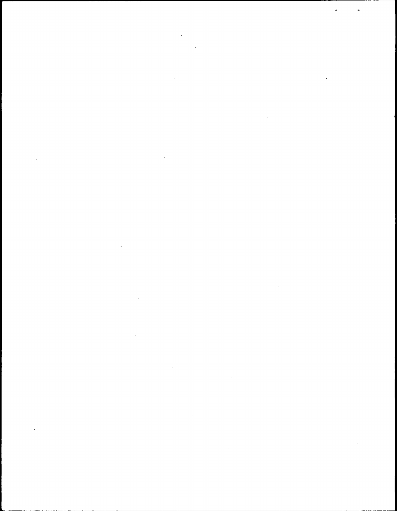$\label{eq:2.1} \frac{1}{\sqrt{2}}\sum_{i=1}^n\frac{1}{\sqrt{2}}\sum_{i=1}^n\frac{1}{\sqrt{2}}\sum_{i=1}^n\frac{1}{\sqrt{2}}\sum_{i=1}^n\frac{1}{\sqrt{2}}\sum_{i=1}^n\frac{1}{\sqrt{2}}\sum_{i=1}^n\frac{1}{\sqrt{2}}\sum_{i=1}^n\frac{1}{\sqrt{2}}\sum_{i=1}^n\frac{1}{\sqrt{2}}\sum_{i=1}^n\frac{1}{\sqrt{2}}\sum_{i=1}^n\frac{1}{\sqrt{2}}\sum_{i=1}^n\frac$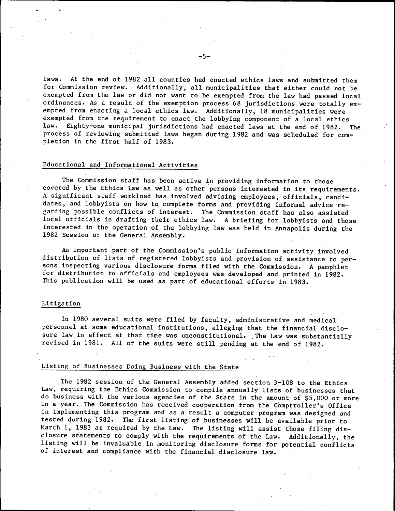laws. At the end of 1982 all counties had enacted ethics laws and submitted them for Commission review. Additionally, all municipalities that either could not be exempted from the law or did not want to be exempted from the law had passed local ordinances. As a result of the exemption process 68 jurisdictions were totally exempted from enacting a local ethics law. Additionally, 18 municipalities were exempted from the requirement to enact the lobbying component of a local ethics law. Eighty-one municipal jurisdictions had enacted laws at the end of 1982. The process of reviewing submitted laws began during 1982 and was scheduled for completion in the first half of 1983.

#### Educational and Informational Activities

The Commission staff has been active in providing information to those covered by the Ethics Law as well as other persons interested in its requirements. A significant staff workload has involved advising employees, officials, candidates, and lobbyists on how to complete forms and providing informal advice regarding possible conflicts of interest. The Commission staff has also assisted local officials in drafting their ethics law. A briefing for lobbyists and those interested in the operation of the lobbying law was held in Annapolis during the 1982 Session of the General Assembly.

An important part of the Commission's public information activity involved distribution of lists of registered lobbyists and provision of assistance to persons inspecting various disclosure forms filed with the Commission. A pamphlet for distribution to officials and employees was developed and printed in 1982. This publication will be used as part of educational efforts in 1983.

## Litigation

In 1980 several suits were filed by faculty, administrative and medical personnel at some educational institutions, alleging that the financial disclosure law in effect at that time was unconstitutional. The Law was substantially revised in 1981. All of the suits were still pending at the end of 1982.

## Listing of Businesses Doing Business with the State

The 1982 session of the General Assembly added section 3-108 to the Ethics Law, requiring the Ethics Commission to compile annually lists of businesses that do business with the various agencies of the State in the amount of \$5,000 or more in a year. The Commission has received cooperation from the Comptroller's Office in implementing this program and as a result a computer program was designed and tested during 1982. The first listing of businesses will be available prior to March 1, 1983 as required by the Law. The listing will assist those filing disclosure statements to comply with the requirements of the Law. Additionally, the listing will be invaluable in monitoring disclosure forms for potential conflicts of interest and compliance with the financial disclosure law.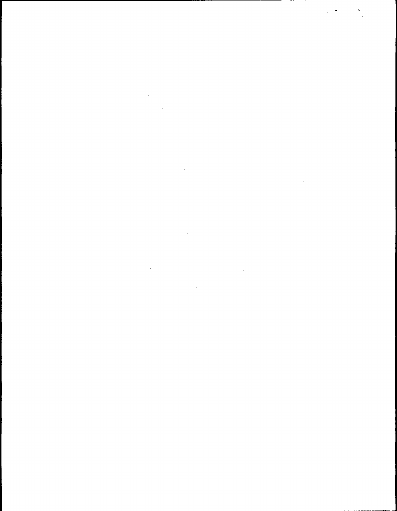$\label{eq:2.1} \frac{1}{\sqrt{2}}\int_{\mathbb{R}^3}\frac{1}{\sqrt{2}}\left(\frac{1}{\sqrt{2}}\right)^2\frac{1}{\sqrt{2}}\left(\frac{1}{\sqrt{2}}\right)^2\frac{1}{\sqrt{2}}\left(\frac{1}{\sqrt{2}}\right)^2\frac{1}{\sqrt{2}}\left(\frac{1}{\sqrt{2}}\right)^2.$  $\label{eq:2.1} \mathcal{L}(\mathcal{L}^{\mathcal{L}}_{\mathcal{L}}(\mathcal{L}^{\mathcal{L}}_{\mathcal{L}}))\leq \mathcal{L}(\mathcal{L}^{\mathcal{L}}_{\mathcal{L}}(\mathcal{L}^{\mathcal{L}}_{\mathcal{L}}))$  $\label{eq:2.1} \frac{1}{\sqrt{2}}\int_{\mathbb{R}^3}\frac{1}{\sqrt{2}}\left(\frac{1}{\sqrt{2}}\int_{\mathbb{R}^3}\frac{1}{\sqrt{2}}\left(\frac{1}{\sqrt{2}}\int_{\mathbb{R}^3}\frac{1}{\sqrt{2}}\left(\frac{1}{\sqrt{2}}\int_{\mathbb{R}^3}\frac{1}{\sqrt{2}}\right)\frac{1}{\sqrt{2}}\right)\frac{1}{\sqrt{2}}\right)=\frac{1}{2}\int_{\mathbb{R}^3}\frac{1}{\sqrt{2}}\int_{\mathbb{R}^3}\frac{1}{\sqrt{2}}\left(\frac{1$  $\label{eq:2.1} \frac{1}{\sqrt{2}}\int_{\mathbb{R}^3}\frac{1}{\sqrt{2}}\left(\frac{1}{\sqrt{2}}\right)^2\frac{1}{\sqrt{2}}\left(\frac{1}{\sqrt{2}}\right)^2\frac{1}{\sqrt{2}}\left(\frac{1}{\sqrt{2}}\right)^2\frac{1}{\sqrt{2}}\left(\frac{1}{\sqrt{2}}\right)^2\frac{1}{\sqrt{2}}\left(\frac{1}{\sqrt{2}}\right)^2\frac{1}{\sqrt{2}}\frac{1}{\sqrt{2}}\frac{1}{\sqrt{2}}\frac{1}{\sqrt{2}}\frac{1}{\sqrt{2}}\frac{1}{\sqrt{2}}$ 

 $\label{eq:2.1} \frac{1}{\sqrt{2}}\int_{\mathbb{R}^3}\frac{1}{\sqrt{2}}\left(\frac{1}{\sqrt{2}}\right)^2\frac{1}{\sqrt{2}}\left(\frac{1}{\sqrt{2}}\right)^2\frac{1}{\sqrt{2}}\left(\frac{1}{\sqrt{2}}\right)^2\frac{1}{\sqrt{2}}\left(\frac{1}{\sqrt{2}}\right)^2\frac{1}{\sqrt{2}}\left(\frac{1}{\sqrt{2}}\right)^2\frac{1}{\sqrt{2}}\frac{1}{\sqrt{2}}\frac{1}{\sqrt{2}}\frac{1}{\sqrt{2}}\frac{1}{\sqrt{2}}\frac{1}{\sqrt{2}}$ 

 $\label{eq:2} \frac{1}{\sqrt{2}}\left(\frac{1}{\sqrt{2}}\right)^2\left(\frac{1}{\sqrt{2}}\right)^2.$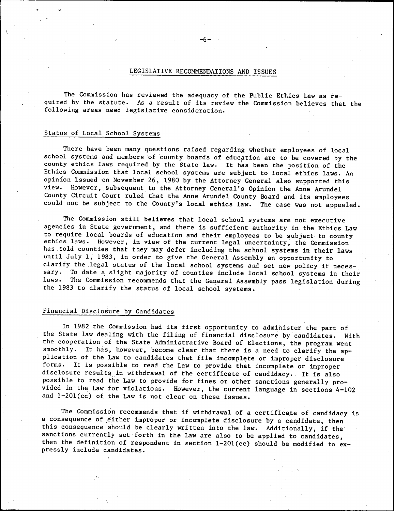## LEGISLATIVE RECOMMENDATIONS AND ISSUES

The Commission has reviewed the adequacy of the Public Ethics Law as required by the statute. As a result of its review the Commission believes that the following areas need legislative consideration.

### Status of Local School Systems

There have been many questions raised regarding whether employees of local school systems and members of county boards of education are to be covered by the county ethics laws required by the State law. It has been the position of the Ethics Commission that local school systems are subject to local ethics laws. An opinion issued on November 26, 1980 by the Attorney General also supported this view. However, subsequent to the Attorney General's Opinion the Anne Arundel County Circuit Court ruled that the Anne Arundel County Board and its employees could not be subject to the County's local ethics law. The case was not appealed.

The Commission still believes that local school systems are not executive agencies in State government, and there is sufficient authority in the Ethics Law to require local boards of education and their employees to be subject to county ethics laws. However, in view of the current legal uncertainty, the Commission has told counties that they may defer including the school systems in their laws until July 1, 1983, in order to give the General Assembly an opportunity to clarify the legal status of the local school systems and set new policy if necessary. To date a slight majority of counties include local school systems in their<br>laws. The Commission recommends that the Ceneral Assembly pass legislation during The Commission recommends that the General Assembly pass legislation during the 1983 to clarify the status of local school systems.

#### Financial Disclosure by Candidates

In 1982 the Commission had its first opportunity to administer the part of the State law dealing with the filing of financial disclosure by candidates. With the cooperation of the State Administrative Board of Elections, the program went smoothly. It has, however, become clear that there is a need to clarify the application of the Law to candidates that file incomplete or improper disclosure forms. It is possible to read the Law to provide that incomplete or improper disclosure results in withdrawal of the certificate of candidacy. It is also possible to read the Law to provide for fines or other sanctions generally provided in the Law for violations. However, the current language in sections 4-102 and l-201(cc) of the Law is not clear on these issues.

The Commission recommends that if withdrawal of a certificate of candidacy is a consequence of either improper or incomplete disclosure by a candidate, then this consequence should be clearly written into the law. Additionally, if the sanctions currently set forth in the Law are also to be applied to candidates, then the definition of respondent in section 1-201(cc) should be modified to expressly include candidates.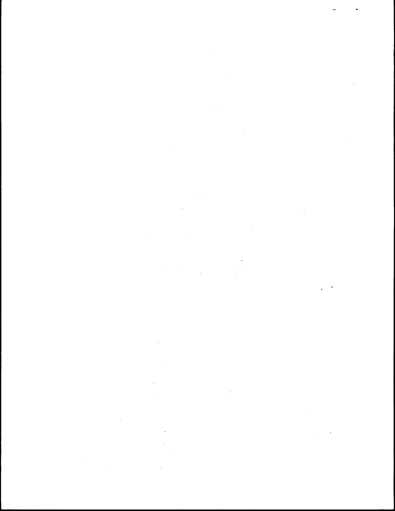$\label{eq:2.1} \frac{1}{2} \sum_{i=1}^n \frac{1}{2} \sum_{j=1}^n \frac{1}{2} \sum_{j=1}^n \frac{1}{2} \sum_{j=1}^n \frac{1}{2} \sum_{j=1}^n \frac{1}{2} \sum_{j=1}^n \frac{1}{2} \sum_{j=1}^n \frac{1}{2} \sum_{j=1}^n \frac{1}{2} \sum_{j=1}^n \frac{1}{2} \sum_{j=1}^n \frac{1}{2} \sum_{j=1}^n \frac{1}{2} \sum_{j=1}^n \frac{1}{2} \sum_{j=1}^n \frac{$ 

 $\label{eq:2.1} \begin{split} \mathcal{L}_{\text{max}}(\mathcal{L}_{\text{max}}) = \mathcal{L}_{\text{max}}(\mathcal{L}_{\text{max}}) \,, \end{split}$  $\label{eq:2.1} \mathcal{L}(\mathcal{L}^{\mathcal{L}}_{\mathcal{L}}(\mathcal{L}^{\mathcal{L}}_{\mathcal{L}})) = \mathcal{L}(\mathcal{L}^{\mathcal{L}}_{\mathcal{L}}(\mathcal{L}^{\mathcal{L}}_{\mathcal{L}})) = \mathcal{L}(\mathcal{L}^{\mathcal{L}}_{\mathcal{L}}(\mathcal{L}^{\mathcal{L}}_{\mathcal{L}}))$  $\label{eq:2.1} \frac{1}{\sqrt{2}}\int_{\mathbb{R}^3}\frac{1}{\sqrt{2}}\left(\frac{1}{\sqrt{2}}\right)^2\frac{1}{\sqrt{2}}\left(\frac{1}{\sqrt{2}}\right)^2\frac{1}{\sqrt{2}}\left(\frac{1}{\sqrt{2}}\right)^2\frac{1}{\sqrt{2}}\left(\frac{1}{\sqrt{2}}\right)^2.$ 

 $\mathcal{L}_{\text{max}}$  and  $\mathcal{L}_{\text{max}}$ 

 $\label{eq:2.1} \frac{1}{\sqrt{2}}\int_{\mathbb{R}^3}\frac{1}{\sqrt{2}}\left(\frac{1}{\sqrt{2}}\right)^2\frac{1}{\sqrt{2}}\left(\frac{1}{\sqrt{2}}\right)^2\frac{1}{\sqrt{2}}\left(\frac{1}{\sqrt{2}}\right)^2\frac{1}{\sqrt{2}}\left(\frac{1}{\sqrt{2}}\right)^2.$  $\label{eq:2.1} \frac{1}{\sqrt{2}}\int_{\mathbb{R}^3}\frac{1}{\sqrt{2}}\left(\frac{1}{\sqrt{2}}\right)^2\frac{1}{\sqrt{2}}\left(\frac{1}{\sqrt{2}}\right)^2\frac{1}{\sqrt{2}}\left(\frac{1}{\sqrt{2}}\right)^2\frac{1}{\sqrt{2}}\left(\frac{1}{\sqrt{2}}\right)^2.$ 

 $\mathcal{L}^{\text{max}}_{\text{max}}$  and  $\mathcal{L}^{\text{max}}_{\text{max}}$ 

 $\label{eq:2} \frac{1}{\sqrt{2}}\left(\frac{1}{\sqrt{2}}\right)^{2} \left(\frac{1}{\sqrt{2}}\right)^{2}$  $\mathcal{L}(\mathcal{L}^{\mathcal{L}})$  and  $\mathcal{L}^{\mathcal{L}}$  and  $\mathcal{L}^{\mathcal{L}}$  and  $\mathcal{L}^{\mathcal{L}}$  $\label{eq:2.1} \frac{1}{\sqrt{2}}\int_{\mathbb{R}^3}\frac{1}{\sqrt{2}}\left(\frac{1}{\sqrt{2}}\right)^2\frac{1}{\sqrt{2}}\left(\frac{1}{\sqrt{2}}\right)^2\frac{1}{\sqrt{2}}\left(\frac{1}{\sqrt{2}}\right)^2.$  $\label{eq:2.1} \frac{1}{\sqrt{2\pi}}\int_{0}^{\infty}\frac{1}{\sqrt{2\pi}}\left(\frac{1}{\sqrt{2\pi}}\right)^{2\alpha} \frac{1}{\sqrt{2\pi}}\frac{1}{\sqrt{2\pi}}\int_{0}^{\infty}\frac{1}{\sqrt{2\pi}}\frac{1}{\sqrt{2\pi}}\frac{1}{\sqrt{2\pi}}\frac{1}{\sqrt{2\pi}}\frac{1}{\sqrt{2\pi}}\frac{1}{\sqrt{2\pi}}\frac{1}{\sqrt{2\pi}}\frac{1}{\sqrt{2\pi}}\frac{1}{\sqrt{2\pi}}\frac{1}{\sqrt{2\pi}}\frac{$ 

 $\label{eq:2.1} \frac{1}{\sqrt{2}}\sum_{i=1}^n\frac{1}{\sqrt{2}}\sum_{i=1}^n\frac{1}{\sqrt{2}}\sum_{i=1}^n\frac{1}{\sqrt{2}}\sum_{i=1}^n\frac{1}{\sqrt{2}}\sum_{i=1}^n\frac{1}{\sqrt{2}}\sum_{i=1}^n\frac{1}{\sqrt{2}}\sum_{i=1}^n\frac{1}{\sqrt{2}}\sum_{i=1}^n\frac{1}{\sqrt{2}}\sum_{i=1}^n\frac{1}{\sqrt{2}}\sum_{i=1}^n\frac{1}{\sqrt{2}}\sum_{i=1}^n\frac$  $\mathcal{L}^{(1)}$  .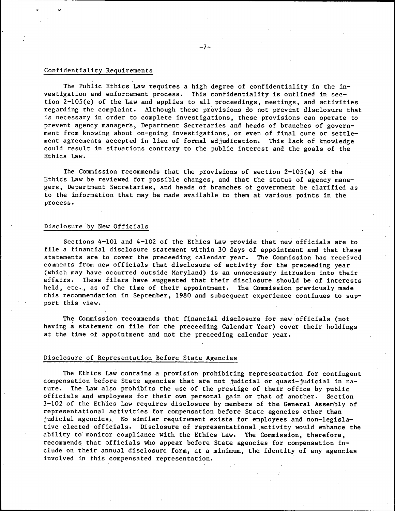## Confidentiality Requirements

The Public Ethics Law requires a high degree of confidentiality in the investigation and enforcement process. This confidentiality is outlined in section 2-105(e) of the Law and applies to all proceedings, meetings, and activities regarding the complaint. Although these provisions do not prevent disclosure that is necessary in order to complete investigations, these provisions can operate to prevent agency managers, Department Secretaries and heads of branches of government from knowing about on-going investigations, or even of final cure or settlement agreements accepted in lieu of formal adjudication. This lack of knowledge could result in situations contrary to the public interest and the goals of the Ethics Law.

The Commission recommends that the provisions of section 2-105(e) of the Ethics Law be reviewed for possible changes, and that the status of agency managers, Department Secretaries, and heads of branches of government be clarified as to the information that may be made available to them at various points in the process.

#### Disclosure by New Officials

Sections 4-101 and 4-102 of the Ethics Law provide that new officials are to file a financial disclosure statement within 30 days of appointment and that these statements are to cover the preceeding calendar year. The Commission has received comments from new officials that disclosure of activity for the preceeding year (which may have occurred outside Maryland) is an unnecessary intrusion into their affairs. These filers have suggested that their disclosure should be of interests held, etc., as of the time of their appointment. The Commission previously made this recommendation in September, 1980 and subsequent experience continues to support this view.

The Commission recommends that financial disclosure for new officials (not having a statement on file for the preceeding Calendar Year) cover their holdings at the time of appointment and not the preceeding calendar year.

#### Disclosure of Representation Before State Agencies

The Ethics Law contains a provision prohibiting representation for contingent compensation before State agencies that are not judicial or quasi-judicial in nature. The Law also prohibits the use of the prestige of their office by public officials and employees for their own personal gain or that of another. Section 3-102 of the Ethics Law requires disclosure by members of the General Assembly of representational activities for compensation before State agencies other than judicial agencies. No similar requirement exists for employees and non-legislative elected officials. Disclosure of representational activity would enhance the ability to monitor compliance with the Ethics Law. The Commission, therefore, recommends that officials who appear before State agencies for compensation include on their annual disclosure form, at a minimum, the identity of any agencies involved in this compensated representation.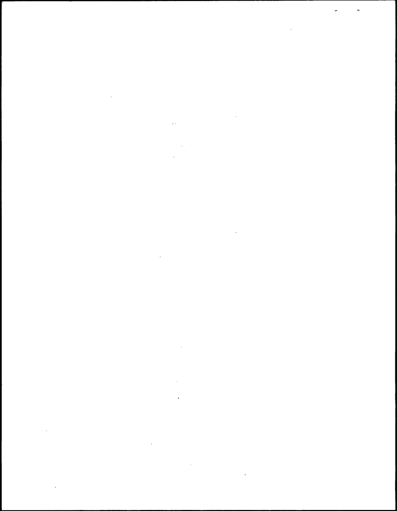$\mathcal{L}^{\text{max}}_{\text{max}}$  and  $\mathcal{L}^{\text{max}}_{\text{max}}$ 

 $\mathcal{L}^{\mathcal{L}}(\mathcal{L}^{\mathcal{L}})$  and  $\mathcal{L}^{\mathcal{L}}(\mathcal{L}^{\mathcal{L}})$  and  $\mathcal{L}^{\mathcal{L}}(\mathcal{L}^{\mathcal{L}})$ 

 $\label{eq:2.1} \mathcal{L}(\mathcal{L}(\mathcal{L})) = \mathcal{L}(\mathcal{L}(\mathcal{L})) = \mathcal{L}(\mathcal{L}(\mathcal{L})) = \mathcal{L}(\mathcal{L}(\mathcal{L})) = \mathcal{L}(\mathcal{L}(\mathcal{L})) = \mathcal{L}(\mathcal{L}(\mathcal{L})) = \mathcal{L}(\mathcal{L}(\mathcal{L})) = \mathcal{L}(\mathcal{L}(\mathcal{L})) = \mathcal{L}(\mathcal{L}(\mathcal{L})) = \mathcal{L}(\mathcal{L}(\mathcal{L})) = \mathcal{L}(\mathcal{L}(\mathcal{L})) = \math$  $\mathcal{L}^{\mathcal{L}}(\mathcal{L}^{\mathcal{L}})$  and the contract of the contract of the contract of the contract of the contract of the contract of the contract of the contract of the contract of the contract of the contract of the contrac  $\label{eq:2.1} \frac{1}{\sqrt{2}}\int_{0}^{\infty}\frac{1}{\sqrt{2\pi}}\left(\frac{1}{\sqrt{2\pi}}\right)^{2\alpha} \frac{1}{\sqrt{2\pi}}\int_{0}^{\infty}\frac{1}{\sqrt{2\pi}}\left(\frac{1}{\sqrt{2\pi}}\right)^{\alpha} \frac{1}{\sqrt{2\pi}}\frac{1}{\sqrt{2\pi}}\int_{0}^{\infty}\frac{1}{\sqrt{2\pi}}\frac{1}{\sqrt{2\pi}}\frac{1}{\sqrt{2\pi}}\frac{1}{\sqrt{2\pi}}\frac{1}{\sqrt{2\pi}}\frac{1}{\sqrt{2\pi}}$  $\label{eq:2.1} \frac{1}{\sqrt{2}}\int_{\mathbb{R}^3}\frac{1}{\sqrt{2}}\left(\frac{1}{\sqrt{2}}\right)^2\frac{1}{\sqrt{2}}\left(\frac{1}{\sqrt{2}}\right)^2\frac{1}{\sqrt{2}}\left(\frac{1}{\sqrt{2}}\right)^2\frac{1}{\sqrt{2}}\left(\frac{1}{\sqrt{2}}\right)^2.$ 

 $\label{eq:2.1} \frac{1}{\sqrt{2}}\int_{\mathbb{R}^3}\frac{1}{\sqrt{2}}\left(\frac{1}{\sqrt{2}}\right)^2\frac{1}{\sqrt{2}}\left(\frac{1}{\sqrt{2}}\right)^2\frac{1}{\sqrt{2}}\left(\frac{1}{\sqrt{2}}\right)^2\frac{1}{\sqrt{2}}\left(\frac{1}{\sqrt{2}}\right)^2.$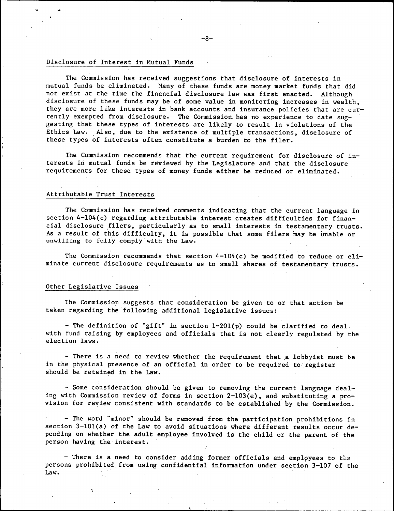## Disclosure of Interest in Mutual Funds

The Commission has received suggestions that disclosure of interests in mutual funds be eliminated. Many of these funds are money market funds that did not exist at the time the financial disclosure law was first enacted. Although disclosure of these funds may be of some value in monitoring increases in wealth, they are more like interests in bank accounts and insurance policies that are currently exempted from disclosure. The Commission has no experience to date suggesting that these types of interests are likely to result in violations of the Ethics Law. Also, due to the existence of multiple transactions, disclosure of these types of interests often constitute a burden to the filer.

The Commission recommends that the current requirement for disclosure of interests in mutual funds be reviewed by the Legislature and that the disclosure requirements for these types of money funds either be reduced or eliminated.

#### Attributable Trust Interests

The Commission has received comments indicating that the current language in section 4-104(c) regarding attributable interest creates difficulties for financial disclosure filers, particularly as to small interests in testamentary trusts As a result of this difficulty, it is possible that some filers may be unable or **unwilling to fully comply** with the Law.

The Commission recommends that section  $4-104(c)$  be modified to reduce or eliminate current disclosure requirements as to small shares of testamentary trusts.

#### Other Legislative Issues

The Commission suggests that consideration be given to or that action be taken regarding the following additional legislative issues:

- The definition of "gift" in section  $1-201(p)$  could be clarified to deal. with fund raising by employees and officials that is not clearly regulated by the election laws.

- There is a need to review whether the requirement that a lobbyist must be in the physical presence of an official in order to be required to register should be retained in the Law.

- Some consideration should be given to removing the current language dealing with Commission review of forms in section 2-103(e), and substituting a provision for review consistent with standards to be established by the Commission.

- The word "minor" should be removed from the participation prohibitions in section 3-101(a) of the Law to avoid situations where different results occur depending on whether the adult employee involved is the child or the parent of the person having the interest.

- There is a need to consider adding former officials and employees to the persons prohibited, from using confidential information under section 3-107 of the Law.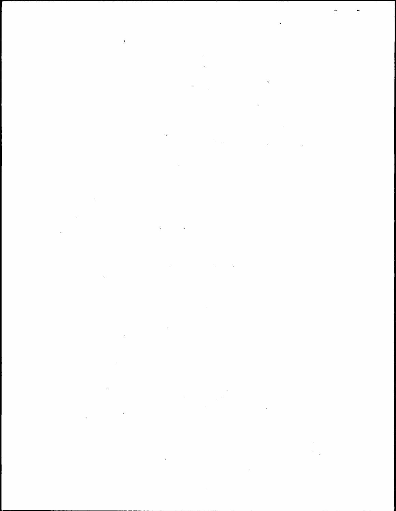$\label{eq:2.1} \frac{1}{\sqrt{2}}\int_{\mathbb{R}^3}\frac{1}{\sqrt{2}}\left(\frac{1}{\sqrt{2}}\right)^2\left(\frac{1}{\sqrt{2}}\right)^2\left(\frac{1}{\sqrt{2}}\right)^2\left(\frac{1}{\sqrt{2}}\right)^2\left(\frac{1}{\sqrt{2}}\right)^2.$ 

 $\label{eq:2.1} \frac{1}{\sqrt{2}}\int_{\mathbb{R}^3}\frac{1}{\sqrt{2}}\left(\frac{1}{\sqrt{2}}\right)^2\frac{1}{\sqrt{2}}\left(\frac{1}{\sqrt{2}}\right)^2\frac{1}{\sqrt{2}}\left(\frac{1}{\sqrt{2}}\right)^2\frac{1}{\sqrt{2}}\left(\frac{1}{\sqrt{2}}\right)^2\frac{1}{\sqrt{2}}\left(\frac{1}{\sqrt{2}}\right)^2\frac{1}{\sqrt{2}}\frac{1}{\sqrt{2}}\frac{1}{\sqrt{2}}\frac{1}{\sqrt{2}}\frac{1}{\sqrt{2}}\frac{1}{\sqrt{2}}$